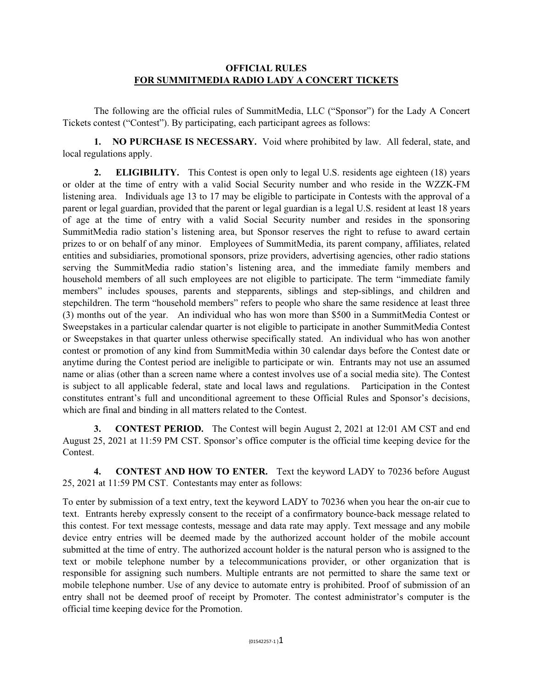## **OFFICIAL RULES FOR SUMMITMEDIA RADIO LADY A CONCERT TICKETS**

The following are the official rules of SummitMedia, LLC ("Sponsor") for the Lady A Concert Tickets contest ("Contest"). By participating, each participant agrees as follows:

**1. NO PURCHASE IS NECESSARY.** Void where prohibited by law. All federal, state, and local regulations apply.

**2. ELIGIBILITY.** This Contest is open only to legal U.S. residents age eighteen (18) years or older at the time of entry with a valid Social Security number and who reside in the WZZK-FM listening area. Individuals age 13 to 17 may be eligible to participate in Contests with the approval of a parent or legal guardian, provided that the parent or legal guardian is a legal U.S. resident at least 18 years of age at the time of entry with a valid Social Security number and resides in the sponsoring SummitMedia radio station's listening area, but Sponsor reserves the right to refuse to award certain prizes to or on behalf of any minor. Employees of SummitMedia, its parent company, affiliates, related entities and subsidiaries, promotional sponsors, prize providers, advertising agencies, other radio stations serving the SummitMedia radio station's listening area, and the immediate family members and household members of all such employees are not eligible to participate. The term "immediate family members" includes spouses, parents and stepparents, siblings and step-siblings, and children and stepchildren. The term "household members" refers to people who share the same residence at least three (3) months out of the year. An individual who has won more than \$500 in a SummitMedia Contest or Sweepstakes in a particular calendar quarter is not eligible to participate in another SummitMedia Contest or Sweepstakes in that quarter unless otherwise specifically stated. An individual who has won another contest or promotion of any kind from SummitMedia within 30 calendar days before the Contest date or anytime during the Contest period are ineligible to participate or win. Entrants may not use an assumed name or alias (other than a screen name where a contest involves use of a social media site). The Contest is subject to all applicable federal, state and local laws and regulations. Participation in the Contest constitutes entrant's full and unconditional agreement to these Official Rules and Sponsor's decisions, which are final and binding in all matters related to the Contest.

**3. CONTEST PERIOD.** The Contest will begin August 2, 2021 at 12:01 AM CST and end August 25, 2021 at 11:59 PM CST. Sponsor's office computer is the official time keeping device for the **Contest** 

**4. CONTEST AND HOW TO ENTER.** Text the keyword LADY to 70236 before August 25, 2021 at 11:59 PM CST. Contestants may enter as follows:

To enter by submission of a text entry, text the keyword LADY to 70236 when you hear the on-air cue to text. Entrants hereby expressly consent to the receipt of a confirmatory bounce-back message related to this contest. For text message contests, message and data rate may apply. Text message and any mobile device entry entries will be deemed made by the authorized account holder of the mobile account submitted at the time of entry. The authorized account holder is the natural person who is assigned to the text or mobile telephone number by a telecommunications provider, or other organization that is responsible for assigning such numbers. Multiple entrants are not permitted to share the same text or mobile telephone number. Use of any device to automate entry is prohibited. Proof of submission of an entry shall not be deemed proof of receipt by Promoter. The contest administrator's computer is the official time keeping device for the Promotion.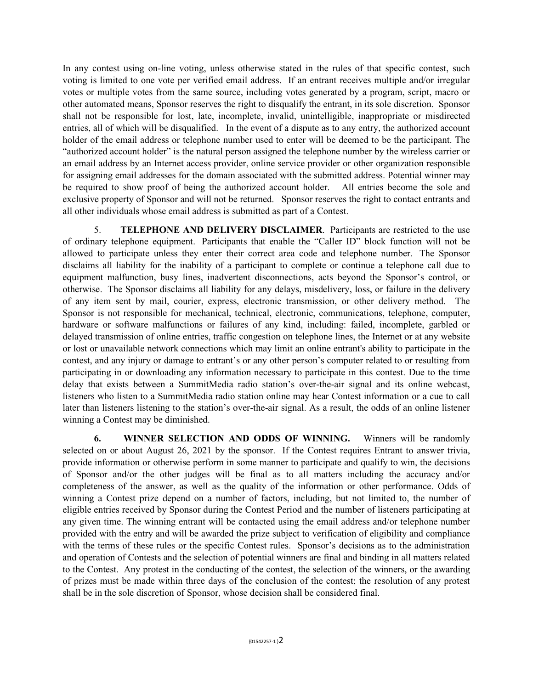In any contest using on-line voting, unless otherwise stated in the rules of that specific contest, such voting is limited to one vote per verified email address. If an entrant receives multiple and/or irregular votes or multiple votes from the same source, including votes generated by a program, script, macro or other automated means, Sponsor reserves the right to disqualify the entrant, in its sole discretion. Sponsor shall not be responsible for lost, late, incomplete, invalid, unintelligible, inappropriate or misdirected entries, all of which will be disqualified. In the event of a dispute as to any entry, the authorized account holder of the email address or telephone number used to enter will be deemed to be the participant. The "authorized account holder" is the natural person assigned the telephone number by the wireless carrier or an email address by an Internet access provider, online service provider or other organization responsible for assigning email addresses for the domain associated with the submitted address. Potential winner may be required to show proof of being the authorized account holder. All entries become the sole and exclusive property of Sponsor and will not be returned. Sponsor reserves the right to contact entrants and all other individuals whose email address is submitted as part of a Contest.

5. **TELEPHONE AND DELIVERY DISCLAIMER**. Participants are restricted to the use of ordinary telephone equipment. Participants that enable the "Caller ID" block function will not be allowed to participate unless they enter their correct area code and telephone number. The Sponsor disclaims all liability for the inability of a participant to complete or continue a telephone call due to equipment malfunction, busy lines, inadvertent disconnections, acts beyond the Sponsor's control, or otherwise. The Sponsor disclaims all liability for any delays, misdelivery, loss, or failure in the delivery of any item sent by mail, courier, express, electronic transmission, or other delivery method. The Sponsor is not responsible for mechanical, technical, electronic, communications, telephone, computer, hardware or software malfunctions or failures of any kind, including: failed, incomplete, garbled or delayed transmission of online entries, traffic congestion on telephone lines, the Internet or at any website or lost or unavailable network connections which may limit an online entrant's ability to participate in the contest, and any injury or damage to entrant's or any other person's computer related to or resulting from participating in or downloading any information necessary to participate in this contest. Due to the time delay that exists between a SummitMedia radio station's over-the-air signal and its online webcast, listeners who listen to a SummitMedia radio station online may hear Contest information or a cue to call later than listeners listening to the station's over-the-air signal. As a result, the odds of an online listener winning a Contest may be diminished.

**6. WINNER SELECTION AND ODDS OF WINNING.** Winners will be randomly selected on or about August 26, 2021 by the sponsor. If the Contest requires Entrant to answer trivia, provide information or otherwise perform in some manner to participate and qualify to win, the decisions of Sponsor and/or the other judges will be final as to all matters including the accuracy and/or completeness of the answer, as well as the quality of the information or other performance. Odds of winning a Contest prize depend on a number of factors, including, but not limited to, the number of eligible entries received by Sponsor during the Contest Period and the number of listeners participating at any given time. The winning entrant will be contacted using the email address and/or telephone number provided with the entry and will be awarded the prize subject to verification of eligibility and compliance with the terms of these rules or the specific Contest rules. Sponsor's decisions as to the administration and operation of Contests and the selection of potential winners are final and binding in all matters related to the Contest. Any protest in the conducting of the contest, the selection of the winners, or the awarding of prizes must be made within three days of the conclusion of the contest; the resolution of any protest shall be in the sole discretion of Sponsor, whose decision shall be considered final.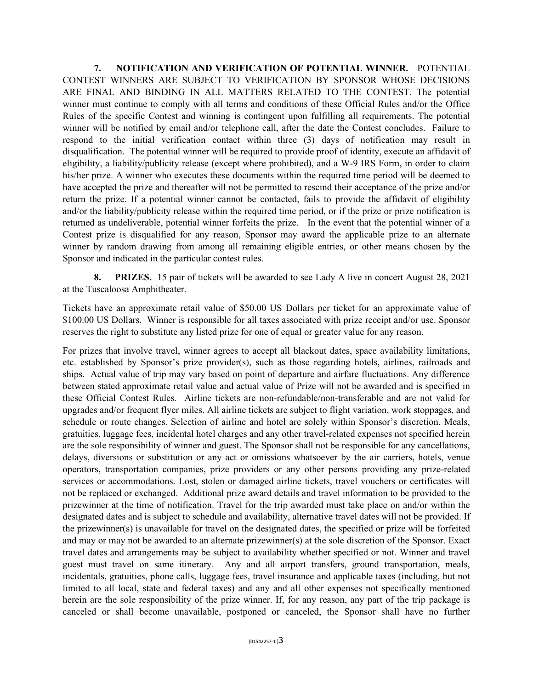**7. NOTIFICATION AND VERIFICATION OF POTENTIAL WINNER.** POTENTIAL CONTEST WINNERS ARE SUBJECT TO VERIFICATION BY SPONSOR WHOSE DECISIONS ARE FINAL AND BINDING IN ALL MATTERS RELATED TO THE CONTEST. The potential winner must continue to comply with all terms and conditions of these Official Rules and/or the Office Rules of the specific Contest and winning is contingent upon fulfilling all requirements. The potential winner will be notified by email and/or telephone call, after the date the Contest concludes. Failure to respond to the initial verification contact within three (3) days of notification may result in disqualification. The potential winner will be required to provide proof of identity, execute an affidavit of eligibility, a liability/publicity release (except where prohibited), and a W-9 IRS Form, in order to claim his/her prize. A winner who executes these documents within the required time period will be deemed to have accepted the prize and thereafter will not be permitted to rescind their acceptance of the prize and/or return the prize. If a potential winner cannot be contacted, fails to provide the affidavit of eligibility and/or the liability/publicity release within the required time period, or if the prize or prize notification is returned as undeliverable, potential winner forfeits the prize. In the event that the potential winner of a Contest prize is disqualified for any reason, Sponsor may award the applicable prize to an alternate winner by random drawing from among all remaining eligible entries, or other means chosen by the Sponsor and indicated in the particular contest rules.

**8. PRIZES.** 15 pair of tickets will be awarded to see Lady A live in concert August 28, 2021 at the Tuscaloosa Amphitheater.

Tickets have an approximate retail value of \$50.00 US Dollars per ticket for an approximate value of \$100.00 US Dollars. Winner is responsible for all taxes associated with prize receipt and/or use. Sponsor reserves the right to substitute any listed prize for one of equal or greater value for any reason.

For prizes that involve travel, winner agrees to accept all blackout dates, space availability limitations, etc. established by Sponsor's prize provider(s), such as those regarding hotels, airlines, railroads and ships. Actual value of trip may vary based on point of departure and airfare fluctuations. Any difference between stated approximate retail value and actual value of Prize will not be awarded and is specified in these Official Contest Rules. Airline tickets are non-refundable/non-transferable and are not valid for upgrades and/or frequent flyer miles. All airline tickets are subject to flight variation, work stoppages, and schedule or route changes. Selection of airline and hotel are solely within Sponsor's discretion. Meals, gratuities, luggage fees, incidental hotel charges and any other travel-related expenses not specified herein are the sole responsibility of winner and guest. The Sponsor shall not be responsible for any cancellations, delays, diversions or substitution or any act or omissions whatsoever by the air carriers, hotels, venue operators, transportation companies, prize providers or any other persons providing any prize-related services or accommodations. Lost, stolen or damaged airline tickets, travel vouchers or certificates will not be replaced or exchanged. Additional prize award details and travel information to be provided to the prizewinner at the time of notification. Travel for the trip awarded must take place on and/or within the designated dates and is subject to schedule and availability, alternative travel dates will not be provided. If the prizewinner(s) is unavailable for travel on the designated dates, the specified or prize will be forfeited and may or may not be awarded to an alternate prizewinner(s) at the sole discretion of the Sponsor. Exact travel dates and arrangements may be subject to availability whether specified or not. Winner and travel guest must travel on same itinerary. Any and all airport transfers, ground transportation, meals, incidentals, gratuities, phone calls, luggage fees, travel insurance and applicable taxes (including, but not limited to all local, state and federal taxes) and any and all other expenses not specifically mentioned herein are the sole responsibility of the prize winner. If, for any reason, any part of the trip package is canceled or shall become unavailable, postponed or canceled, the Sponsor shall have no further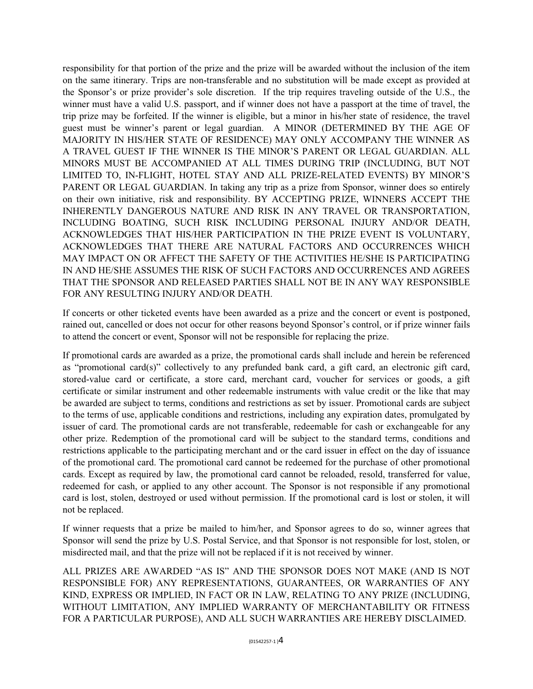responsibility for that portion of the prize and the prize will be awarded without the inclusion of the item on the same itinerary. Trips are non-transferable and no substitution will be made except as provided at the Sponsor's or prize provider's sole discretion. If the trip requires traveling outside of the U.S., the winner must have a valid U.S. passport, and if winner does not have a passport at the time of travel, the trip prize may be forfeited. If the winner is eligible, but a minor in his/her state of residence, the travel guest must be winner's parent or legal guardian. A MINOR (DETERMINED BY THE AGE OF MAJORITY IN HIS/HER STATE OF RESIDENCE) MAY ONLY ACCOMPANY THE WINNER AS A TRAVEL GUEST IF THE WINNER IS THE MINOR'S PARENT OR LEGAL GUARDIAN. ALL MINORS MUST BE ACCOMPANIED AT ALL TIMES DURING TRIP (INCLUDING, BUT NOT LIMITED TO, IN-FLIGHT, HOTEL STAY AND ALL PRIZE-RELATED EVENTS) BY MINOR'S PARENT OR LEGAL GUARDIAN. In taking any trip as a prize from Sponsor, winner does so entirely on their own initiative, risk and responsibility. BY ACCEPTING PRIZE, WINNERS ACCEPT THE INHERENTLY DANGEROUS NATURE AND RISK IN ANY TRAVEL OR TRANSPORTATION, INCLUDING BOATING, SUCH RISK INCLUDING PERSONAL INJURY AND/OR DEATH, ACKNOWLEDGES THAT HIS/HER PARTICIPATION IN THE PRIZE EVENT IS VOLUNTARY, ACKNOWLEDGES THAT THERE ARE NATURAL FACTORS AND OCCURRENCES WHICH MAY IMPACT ON OR AFFECT THE SAFETY OF THE ACTIVITIES HE/SHE IS PARTICIPATING IN AND HE/SHE ASSUMES THE RISK OF SUCH FACTORS AND OCCURRENCES AND AGREES THAT THE SPONSOR AND RELEASED PARTIES SHALL NOT BE IN ANY WAY RESPONSIBLE FOR ANY RESULTING INJURY AND/OR DEATH.

If concerts or other ticketed events have been awarded as a prize and the concert or event is postponed, rained out, cancelled or does not occur for other reasons beyond Sponsor's control, or if prize winner fails to attend the concert or event, Sponsor will not be responsible for replacing the prize.

If promotional cards are awarded as a prize, the promotional cards shall include and herein be referenced as "promotional card(s)" collectively to any prefunded bank card, a gift card, an electronic gift card, stored-value card or certificate, a store card, merchant card, voucher for services or goods, a gift certificate or similar instrument and other redeemable instruments with value credit or the like that may be awarded are subject to terms, conditions and restrictions as set by issuer. Promotional cards are subject to the terms of use, applicable conditions and restrictions, including any expiration dates, promulgated by issuer of card. The promotional cards are not transferable, redeemable for cash or exchangeable for any other prize. Redemption of the promotional card will be subject to the standard terms, conditions and restrictions applicable to the participating merchant and or the card issuer in effect on the day of issuance of the promotional card. The promotional card cannot be redeemed for the purchase of other promotional cards. Except as required by law, the promotional card cannot be reloaded, resold, transferred for value, redeemed for cash, or applied to any other account. The Sponsor is not responsible if any promotional card is lost, stolen, destroyed or used without permission. If the promotional card is lost or stolen, it will not be replaced.

If winner requests that a prize be mailed to him/her, and Sponsor agrees to do so, winner agrees that Sponsor will send the prize by U.S. Postal Service, and that Sponsor is not responsible for lost, stolen, or misdirected mail, and that the prize will not be replaced if it is not received by winner.

ALL PRIZES ARE AWARDED "AS IS" AND THE SPONSOR DOES NOT MAKE (AND IS NOT RESPONSIBLE FOR) ANY REPRESENTATIONS, GUARANTEES, OR WARRANTIES OF ANY KIND, EXPRESS OR IMPLIED, IN FACT OR IN LAW, RELATING TO ANY PRIZE (INCLUDING, WITHOUT LIMITATION, ANY IMPLIED WARRANTY OF MERCHANTABILITY OR FITNESS FOR A PARTICULAR PURPOSE), AND ALL SUCH WARRANTIES ARE HEREBY DISCLAIMED.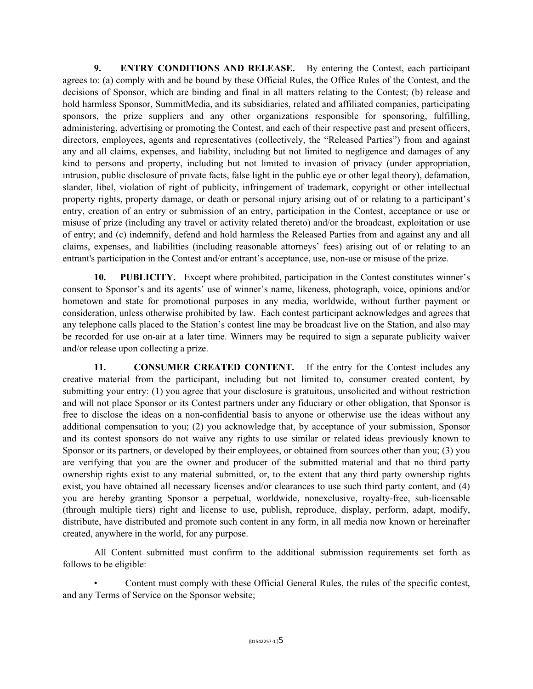**9. ENTRY CONDITIONS AND RELEASE.** By entering the Contest, each participant agrees to: (a) comply with and be bound by these Official Rules, the Office Rules of the Contest, and the decisions of Sponsor, which are binding and final in all matters relating to the Contest; (b) release and hold harmless Sponsor, SummitMedia, and its subsidiaries, related and affiliated companies, participating sponsors, the prize suppliers and any other organizations responsible for sponsoring, fulfilling, administering, advertising or promoting the Contest, and each of their respective past and present officers, directors, employees, agents and representatives (collectively, the "Released Parties") from and against any and all claims, expenses, and liability, including but not limited to negligence and damages of any kind to persons and property, including but not limited to invasion of privacy (under appropriation, intrusion, public disclosure of private facts, false light in the public eye or other legal theory), defamation, slander, libel, violation of right of publicity, infringement of trademark, copyright or other intellectual property rights, property damage, or death or personal injury arising out of or relating to a participant's entry, creation of an entry or submission of an entry, participation in the Contest, acceptance or use or misuse of prize (including any travel or activity related thereto) and/or the broadcast, exploitation or use of entry; and (c) indemnify, defend and hold harmless the Released Parties from and against any and all claims, expenses, and liabilities (including reasonable attorneys' fees) arising out of or relating to an entrant's participation in the Contest and/or entrant's acceptance, use, non-use or misuse of the prize.

10. PUBLICITY. Except where prohibited, participation in the Contest constitutes winner's consent to Sponsor's and its agents' use of winner's name, likeness, photograph, voice, opinions and/or hometown and state for promotional purposes in any media, worldwide, without further payment or consideration, unless otherwise prohibited by law. Each contest participant acknowledges and agrees that any telephone calls placed to the Station's contest line may be broadcast live on the Station, and also may be recorded for use on-air at a later time. Winners may be required to sign a separate publicity waiver and/or release upon collecting a prize.

**11. CONSUMER CREATED CONTENT.** If the entry for the Contest includes any creative material from the participant, including but not limited to, consumer created content, by submitting your entry: (1) you agree that your disclosure is gratuitous, unsolicited and without restriction and will not place Sponsor or its Contest partners under any fiduciary or other obligation, that Sponsor is free to disclose the ideas on a non-confidential basis to anyone or otherwise use the ideas without any additional compensation to you; (2) you acknowledge that, by acceptance of your submission, Sponsor and its contest sponsors do not waive any rights to use similar or related ideas previously known to Sponsor or its partners, or developed by their employees, or obtained from sources other than you; (3) you are verifying that you are the owner and producer of the submitted material and that no third party ownership rights exist to any material submitted, or, to the extent that any third party ownership rights exist, you have obtained all necessary licenses and/or clearances to use such third party content, and (4) you are hereby granting Sponsor a perpetual, worldwide, nonexclusive, royalty-free, sub-licensable (through multiple tiers) right and license to use, publish, reproduce, display, perform, adapt, modify, distribute, have distributed and promote such content in any form, in all media now known or hereinafter created, anywhere in the world, for any purpose.

All Content submitted must confirm to the additional submission requirements set forth as follows to be eligible:

• Content must comply with these Official General Rules, the rules of the specific contest, and any Terms of Service on the Sponsor website;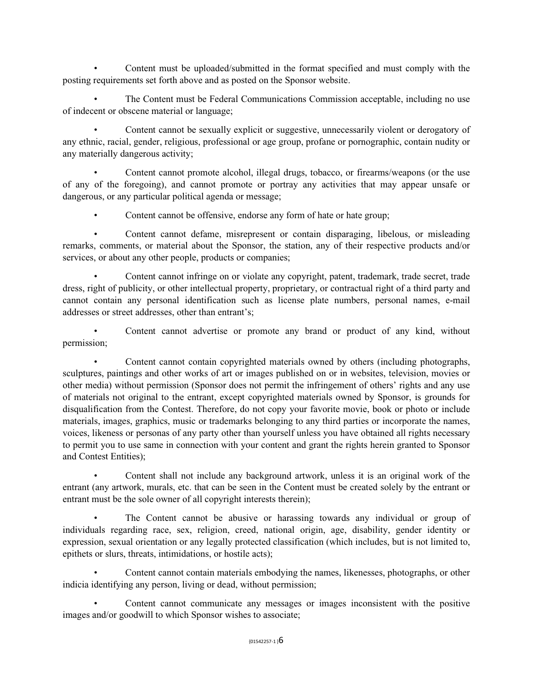• Content must be uploaded/submitted in the format specified and must comply with the posting requirements set forth above and as posted on the Sponsor website.

• The Content must be Federal Communications Commission acceptable, including no use of indecent or obscene material or language;

• Content cannot be sexually explicit or suggestive, unnecessarily violent or derogatory of any ethnic, racial, gender, religious, professional or age group, profane or pornographic, contain nudity or any materially dangerous activity;

• Content cannot promote alcohol, illegal drugs, tobacco, or firearms/weapons (or the use of any of the foregoing), and cannot promote or portray any activities that may appear unsafe or dangerous, or any particular political agenda or message;

Content cannot be offensive, endorse any form of hate or hate group;

• Content cannot defame, misrepresent or contain disparaging, libelous, or misleading remarks, comments, or material about the Sponsor, the station, any of their respective products and/or services, or about any other people, products or companies;

Content cannot infringe on or violate any copyright, patent, trademark, trade secret, trade dress, right of publicity, or other intellectual property, proprietary, or contractual right of a third party and cannot contain any personal identification such as license plate numbers, personal names, e-mail addresses or street addresses, other than entrant's;

Content cannot advertise or promote any brand or product of any kind, without permission;

• Content cannot contain copyrighted materials owned by others (including photographs, sculptures, paintings and other works of art or images published on or in websites, television, movies or other media) without permission (Sponsor does not permit the infringement of others' rights and any use of materials not original to the entrant, except copyrighted materials owned by Sponsor, is grounds for disqualification from the Contest. Therefore, do not copy your favorite movie, book or photo or include materials, images, graphics, music or trademarks belonging to any third parties or incorporate the names, voices, likeness or personas of any party other than yourself unless you have obtained all rights necessary to permit you to use same in connection with your content and grant the rights herein granted to Sponsor and Contest Entities);

• Content shall not include any background artwork, unless it is an original work of the entrant (any artwork, murals, etc. that can be seen in the Content must be created solely by the entrant or entrant must be the sole owner of all copyright interests therein);

• The Content cannot be abusive or harassing towards any individual or group of individuals regarding race, sex, religion, creed, national origin, age, disability, gender identity or expression, sexual orientation or any legally protected classification (which includes, but is not limited to, epithets or slurs, threats, intimidations, or hostile acts);

• Content cannot contain materials embodying the names, likenesses, photographs, or other indicia identifying any person, living or dead, without permission;

• Content cannot communicate any messages or images inconsistent with the positive images and/or goodwill to which Sponsor wishes to associate;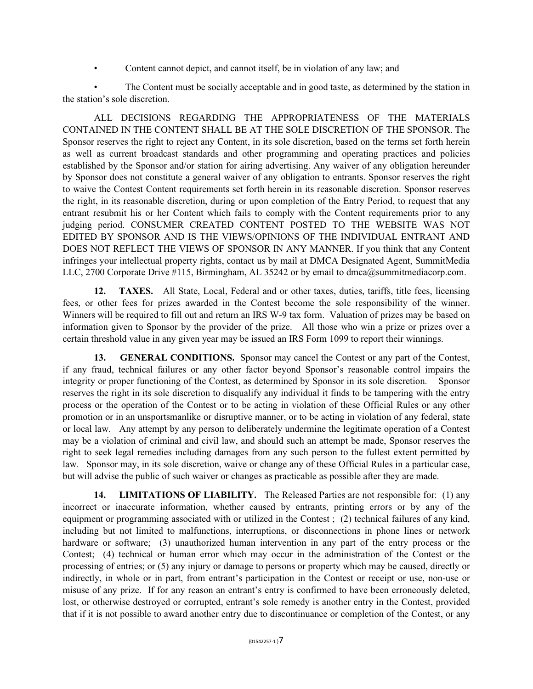• Content cannot depict, and cannot itself, be in violation of any law; and

• The Content must be socially acceptable and in good taste, as determined by the station in the station's sole discretion.

ALL DECISIONS REGARDING THE APPROPRIATENESS OF THE MATERIALS CONTAINED IN THE CONTENT SHALL BE AT THE SOLE DISCRETION OF THE SPONSOR. The Sponsor reserves the right to reject any Content, in its sole discretion, based on the terms set forth herein as well as current broadcast standards and other programming and operating practices and policies established by the Sponsor and/or station for airing advertising. Any waiver of any obligation hereunder by Sponsor does not constitute a general waiver of any obligation to entrants. Sponsor reserves the right to waive the Contest Content requirements set forth herein in its reasonable discretion. Sponsor reserves the right, in its reasonable discretion, during or upon completion of the Entry Period, to request that any entrant resubmit his or her Content which fails to comply with the Content requirements prior to any judging period. CONSUMER CREATED CONTENT POSTED TO THE WEBSITE WAS NOT EDITED BY SPONSOR AND IS THE VIEWS/OPINIONS OF THE INDIVIDUAL ENTRANT AND DOES NOT REFLECT THE VIEWS OF SPONSOR IN ANY MANNER. If you think that any Content infringes your intellectual property rights, contact us by mail at DMCA Designated Agent, SummitMedia LLC, 2700 Corporate Drive #115, Birmingham, AL 35242 or by email to dmca@summitmediacorp.com.

**12. TAXES.** All State, Local, Federal and or other taxes, duties, tariffs, title fees, licensing fees, or other fees for prizes awarded in the Contest become the sole responsibility of the winner. Winners will be required to fill out and return an IRS W-9 tax form. Valuation of prizes may be based on information given to Sponsor by the provider of the prize. All those who win a prize or prizes over a certain threshold value in any given year may be issued an IRS Form 1099 to report their winnings.

**13. GENERAL CONDITIONS.** Sponsor may cancel the Contest or any part of the Contest, if any fraud, technical failures or any other factor beyond Sponsor's reasonable control impairs the integrity or proper functioning of the Contest, as determined by Sponsor in its sole discretion. Sponsor reserves the right in its sole discretion to disqualify any individual it finds to be tampering with the entry process or the operation of the Contest or to be acting in violation of these Official Rules or any other promotion or in an unsportsmanlike or disruptive manner, or to be acting in violation of any federal, state or local law. Any attempt by any person to deliberately undermine the legitimate operation of a Contest may be a violation of criminal and civil law, and should such an attempt be made, Sponsor reserves the right to seek legal remedies including damages from any such person to the fullest extent permitted by law. Sponsor may, in its sole discretion, waive or change any of these Official Rules in a particular case, but will advise the public of such waiver or changes as practicable as possible after they are made.

**14. LIMITATIONS OF LIABILITY.** The Released Parties are not responsible for: (1) any incorrect or inaccurate information, whether caused by entrants, printing errors or by any of the equipment or programming associated with or utilized in the Contest ; (2) technical failures of any kind, including but not limited to malfunctions, interruptions, or disconnections in phone lines or network hardware or software; (3) unauthorized human intervention in any part of the entry process or the Contest; (4) technical or human error which may occur in the administration of the Contest or the processing of entries; or (5) any injury or damage to persons or property which may be caused, directly or indirectly, in whole or in part, from entrant's participation in the Contest or receipt or use, non-use or misuse of any prize. If for any reason an entrant's entry is confirmed to have been erroneously deleted, lost, or otherwise destroyed or corrupted, entrant's sole remedy is another entry in the Contest, provided that if it is not possible to award another entry due to discontinuance or completion of the Contest, or any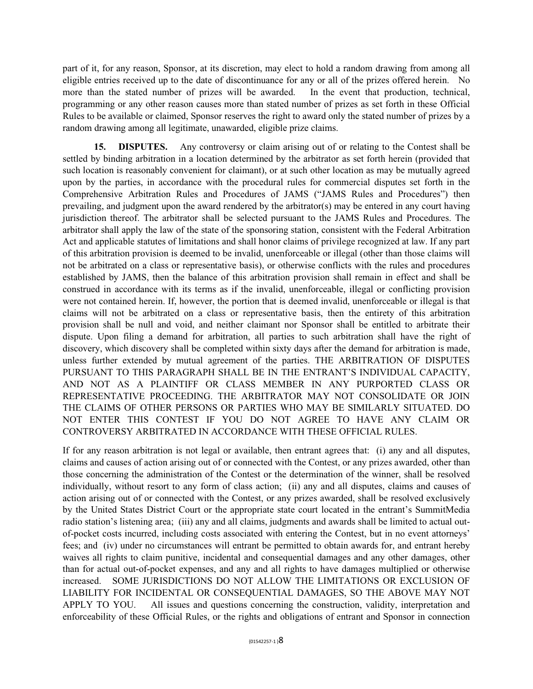part of it, for any reason, Sponsor, at its discretion, may elect to hold a random drawing from among all eligible entries received up to the date of discontinuance for any or all of the prizes offered herein. No more than the stated number of prizes will be awarded. In the event that production, technical, programming or any other reason causes more than stated number of prizes as set forth in these Official Rules to be available or claimed, Sponsor reserves the right to award only the stated number of prizes by a random drawing among all legitimate, unawarded, eligible prize claims.

**15. DISPUTES.** Any controversy or claim arising out of or relating to the Contest shall be settled by binding arbitration in a location determined by the arbitrator as set forth herein (provided that such location is reasonably convenient for claimant), or at such other location as may be mutually agreed upon by the parties, in accordance with the procedural rules for commercial disputes set forth in the Comprehensive Arbitration Rules and Procedures of JAMS ("JAMS Rules and Procedures") then prevailing, and judgment upon the award rendered by the arbitrator(s) may be entered in any court having jurisdiction thereof. The arbitrator shall be selected pursuant to the JAMS Rules and Procedures. The arbitrator shall apply the law of the state of the sponsoring station, consistent with the Federal Arbitration Act and applicable statutes of limitations and shall honor claims of privilege recognized at law. If any part of this arbitration provision is deemed to be invalid, unenforceable or illegal (other than those claims will not be arbitrated on a class or representative basis), or otherwise conflicts with the rules and procedures established by JAMS, then the balance of this arbitration provision shall remain in effect and shall be construed in accordance with its terms as if the invalid, unenforceable, illegal or conflicting provision were not contained herein. If, however, the portion that is deemed invalid, unenforceable or illegal is that claims will not be arbitrated on a class or representative basis, then the entirety of this arbitration provision shall be null and void, and neither claimant nor Sponsor shall be entitled to arbitrate their dispute. Upon filing a demand for arbitration, all parties to such arbitration shall have the right of discovery, which discovery shall be completed within sixty days after the demand for arbitration is made, unless further extended by mutual agreement of the parties. THE ARBITRATION OF DISPUTES PURSUANT TO THIS PARAGRAPH SHALL BE IN THE ENTRANT'S INDIVIDUAL CAPACITY, AND NOT AS A PLAINTIFF OR CLASS MEMBER IN ANY PURPORTED CLASS OR REPRESENTATIVE PROCEEDING. THE ARBITRATOR MAY NOT CONSOLIDATE OR JOIN THE CLAIMS OF OTHER PERSONS OR PARTIES WHO MAY BE SIMILARLY SITUATED. DO NOT ENTER THIS CONTEST IF YOU DO NOT AGREE TO HAVE ANY CLAIM OR CONTROVERSY ARBITRATED IN ACCORDANCE WITH THESE OFFICIAL RULES.

If for any reason arbitration is not legal or available, then entrant agrees that: (i) any and all disputes, claims and causes of action arising out of or connected with the Contest, or any prizes awarded, other than those concerning the administration of the Contest or the determination of the winner, shall be resolved individually, without resort to any form of class action; (ii) any and all disputes, claims and causes of action arising out of or connected with the Contest, or any prizes awarded, shall be resolved exclusively by the United States District Court or the appropriate state court located in the entrant's SummitMedia radio station's listening area; (iii) any and all claims, judgments and awards shall be limited to actual outof-pocket costs incurred, including costs associated with entering the Contest, but in no event attorneys' fees; and (iv) under no circumstances will entrant be permitted to obtain awards for, and entrant hereby waives all rights to claim punitive, incidental and consequential damages and any other damages, other than for actual out-of-pocket expenses, and any and all rights to have damages multiplied or otherwise increased. SOME JURISDICTIONS DO NOT ALLOW THE LIMITATIONS OR EXCLUSION OF LIABILITY FOR INCIDENTAL OR CONSEQUENTIAL DAMAGES, SO THE ABOVE MAY NOT APPLY TO YOU. All issues and questions concerning the construction, validity, interpretation and enforceability of these Official Rules, or the rights and obligations of entrant and Sponsor in connection